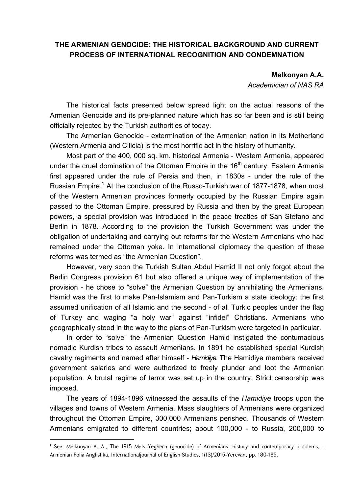## **THE ARMENIAN GENOCIDE: THE HISTORICAL BACKGROUND AND CURRENT PROCESS OF INTERNATIONAL RECOGNITION AND CONDEMNATION**

**Melkonyan A.A.** 

*Academician of NAS RA*

The historical facts presented below spread light on the actual reasons of the Armenian Genocide and its pre-planned nature which has so far been and is still being officially rejected by the Turkish authorities of today.

The Armenian Genocide - extermination of the Armenian nation in its Motherland (Western Armenia and Cilicia) is the most horrific act in the history of humanity.

Most part of the 400, 000 sq. km. historical Armenia - Western Armenia, appeared under the cruel domination of the Ottoman Empire in the  $16<sup>th</sup>$  century. Eastern Armenia first appeared under the rule of Persia and then, in 1830s - under the rule of the Russian Empire.<sup>1</sup> At the conclusion of the Russo-Turkish war of 1877-1878, when most of the Western Armenian provinces formerly occupied by the Russian Empire again passed to the Ottoman Empire, pressured by Russia and then by the great European powers, a special provision was introduced in the peace treaties of San Stefano and Berlin in 1878. According to the provision the Turkish Government was under the obligation of undertaking and carrying out reforms for the Western Armenians who had remained under the Ottoman yoke. In international diplomacy the question of these reforms was termed as "the Armenian Question".

However, very soon the Turkish Sultan Abdul Hamid II not only forgot about the Berlin Congress provision 61 but also offered a unique way of implementation of the provision - he chose to "solve" the Armenian Question by annihilating the Armenians. Hamid was the first to make Pan-Islamism and Pan-Turkism a state ideology: the first assumed unification of all Islamic and the second - of all Turkic peoples under the flag of Turkey and waging "a holy war" against "infidel" Christians. Armenians who geographically stood in the way to the plans of Pan-Turkism were targeted in particular.

In order to "solve" the Armenian Question Hamid instigated the contumacious nomadic Kurdish tribes to assault Armenians. In 1891 he established special Kurdish cavalry regiments and named after himself - *Hamidiye.* The Hamidiye members received government salaries and were authorized to freely plunder and loot the Armenian population. A brutal regime of terror was set up in the country. Strict censorship was imposed.

The years of 1894-1896 witnessed the assaults of the *Hamidiye* troops upon the villages and towns of Western Armenia. Mass slaughters of Armenians were organized throughout the Ottoman Empire, 300,000 Armenians perished. Thousands of Western Armenians emigrated to different countries; about 100,000 - to Russia, 200,000 to

**.** 

<sup>1</sup> See: Melkonyan A. A., The 1915 Mets Yeghern (genocide) of Armenians: history and contemporary problems, - Armenian Folia Anglistika, Internationaljournal of English Studies, 1(13)/2015-Yerevan, pp. 180-185.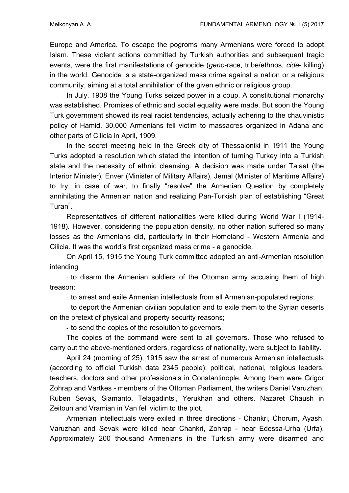Europe and America. To escape the pogroms many Armenians were forced to adopt Islam. These violent actions committed by Turkish authorities and subsequent tragic events, were the first manifestations of genocide (*geno*-race, tribe/ethnos, *cide*- killing) in the world. Genocide is a state-organized mass crime against a nation or a religious community, aiming at a total annihilation of the given ethnic or religious group.

In July, 1908 the Young Turks seized power in a coup. A constitutional monarchy was established. Promises of ethnic and social equality were made. But soon the Young Turk government showed its real racist tendencies, actually adhering to the chauvinistic policy of Hamid. 30,000 Armenians fell victim to massacres organized in Adana and other parts of Cilicia in April, 1909.

In the secret meeting held in the Greek city of Thessaloniki in 1911 the Young Turks adopted a resolution which stated the intention of turning Turkey into a Turkish state and the necessity of ethnic cleansing. A decision was made under Talaat (the Interior Minister), Enver (Minister of Military Affairs), Jemal (Minister of Maritime Affairs) to try, in case of war, to finally "resolve" the Armenian Question by completely annihilating the Armenian nation and realizing Pan-Turkish plan of establishing "Great Turan".

Representatives of different nationalities were killed during World War I (1914- 1918). However, considering the population density, no other nation suffered so many losses as the Armenians did, particularly in their Homeland - Western Armenia and Cilicia. It was the world's first organized mass crime - a genocide.

On April 15, 1915 the Young Turk committee adopted an anti-Armenian resolution intending

- to disarm the Armenian soldiers of the Ottoman army accusing them of high treason;

- to arrest and exile Armenian intellectuals from all Armenian-populated regions;

- to deport the Armenian civilian population and to exile them to the Syrian deserts on the pretext of physical and property security reasons;

- to send the copies of the resolution to governors.

The copies of the command were sent to all governors. Those who refused to carry out the above-mentioned orders, regardless of nationality, were subject to liability.

April 24 (morning of 25), 1915 saw the arrest of numerous Armenian intellectuals (according to official Turkish data 2345 people); political, national, religious leaders, teachers, doctors and other professionals in Constantinople. Among them were Grigor Zohrap and Vartkes - members of the Ottoman Parliament, the writers Daniel Varuzhan, Ruben Sevak, Siamanto, Telagadintsi, Yerukhan and others. Nazaret Chaush in Zeitoun and Vramian in Van fell victim to the plot.

Armenian intellectuals were exiled in three directions - Chankri, Chorum, Ayash. Varuzhan and Sevak were killed near Chankri, Zohrap - near Edessa-Urha (Urfa). Approximately 200 thousand Armenians in the Turkish army were disarmed and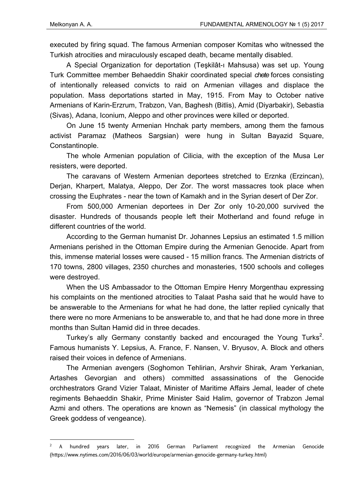**.** 

executed by firing squad. The famous Armenian composer Komitas who witnessed the Turkish atrocities and miraculously escaped death, became mentally disabled.

A Special Organization for deportation (Teşkilât-ı Mahsusa) was set up. Young Turk Committee member Behaeddin Shakir coordinated special *chete* forces consisting of intentionally released convicts to raid on Armenian villages and displace the population. Mass deportations started in May, 1915. From May to October native Armenians of Karin-Erzrum, Trabzon, Van, Baghesh (Bitlis), Amid (Diyarbakir), Sebastia (Sivas), Adana, Iconium, Aleppo and other provinces were killed or deported.

On June 15 twenty Armenian Hnchak party members, among them the famous activist Paramaz (Matheos Sargsian) were hung in Sultan Bayazid Square, Constantinople.

The whole Armenian population of Cilicia, with the exception of the Musa Ler resisters, were deported.

The caravans of Western Armenian deportees stretched to Erznka (Erzincan), Derjan, Kharpert, Malatya, Aleppo, Der Zor. The worst massacres took place when crossing the Euphrates - near the town of Kamakh and in the Syrian desert of Der Zor.

From 500,000 Armenian deportees in Der Zor only 10-20,000 survived the disaster. Hundreds of thousands people left their Motherland and found refuge in different countries of the world.

According to the German humanist Dr. Johannes Lepsius an estimated 1.5 million Armenians perished in the Ottoman Empire during the Armenian Genocide. Apart from this, immense material losses were caused - 15 million francs. The Armenian districts of 170 towns, 2800 villages, 2350 churches and monasteries, 1500 schools and colleges were destroyed.

When the US Ambassador to the Ottoman Empire Henry Morgenthau expressing his complaints on the mentioned atrocities to Talaat Pasha said that he would have to be answerable to the Armenians for what he had done, the latter replied cynically that there were no more Armenians to be answerable to, and that he had done more in three months than Sultan Hamid did in three decades.

Turkey's ally Germany constantly backed and encouraged the Young Turks<sup>2</sup>. Famous humanists Y. Lepsius, A. France, F. Nansen, V. Bryusov, A. Block and others raised their voices in defence of Armenians.

The Armenian avengers (Soghomon Tehlirian, Arshvir Shirak, Aram Yerkanian, Artashes Gevorgian and others) committed assassinations of the Genocide orchhestrators Grand Vizier Talaat, Minister of Maritime Affairs Jemal, leader of chete regiments Behaeddin Shakir, Prime Minister Said Halim, governor of Trabzon Jemal Azmi and others. The operations are known as "Nemesis" (in classical mythology the Greek goddess of vengeance).

<sup>2</sup> A hundred years later, in 2016 German Parliament recognized the Armenian Genocide (https://www.nytimes.com/2016/06/03/world/europe/armenian-genocide-germany-turkey.html)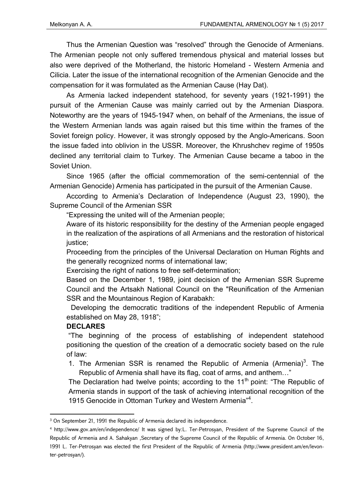Thus the Armenian Question was "resolved" through the Genocide of Armenians. The Armenian people not only suffered tremendous physical and material losses but also were deprived of the Motherland, the historic Homeland - Western Armenia and Cilicia. Later the issue of the international recognition of the Armenian Genocide and the compensation for it was formulated as the Armenian Cause (Hay Dat).

As Armenia lacked independent statehood, for seventy years (1921-1991) the pursuit of the Armenian Cause was mainly carried out by the Armenian Diaspora. Noteworthy are the years of 1945-1947 when, on behalf of the Armenians, the issue of the Western Armenian lands was again raised but this time within the frames of the Soviet foreign policy. However, it was strongly opposed by the Anglo-Americans. Soon the issue faded into oblivion in the USSR. Moreover, the Khrushchev regime of 1950s declined any territorial claim to Turkey. The Armenian Cause became a taboo in the Soviet Union.

Since 1965 (after the official commemoration of the semi-centennial of the Armenian Genocide) Armenia has participated in the pursuit of the Armenian Cause.

According to Armenia's Declaration of Independence (August 23, 1990), the Supreme Council of the Armenian SSR

"Expressing the united will of the Armenian people;

Aware of its historic responsibility for the destiny of the Armenian people engaged in the realization of the aspirations of all Armenians and the restoration of historical justice:

Proceeding from the principles of the Universal Declaration on Human Rights and the generally recognized norms of international law;

Exercising the right of nations to free self-determination;

Based on the December 1, 1989, joint decision of the Armenian SSR Supreme Council and the Artsakh National Council on the "Reunification of the Armenian SSR and the Mountainous Region of Karabakh:

Developing the democratic traditions of the independent Republic of Armenia established on May 28, 1918";

## **DECLARES**

**.** 

 "The beginning of the process of establishing of independent statehood positioning the question of the creation of a democratic society based on the rule of law:

1. The Armenian SSR is renamed the Republic of Armenia (Armenia)<sup>3</sup>. The Republic of Armenia shall have its flag, coat of arms, and anthem…"

The Declaration had twelve points; according to the  $11<sup>th</sup>$  point: "The Republic of Armenia stands in support of the task of achieving international recognition of the 1915 Genocide in Ottoman Turkey and Western Armenia<sup>n4</sup>.

<sup>&</sup>lt;sup>3</sup> On September 21, 1991 the Republic of Armenia declared its independence.

<sup>4</sup> http://www.gov.am/en/independence/ It was signed by:L. Ter-Petrosyan, President of the Supreme Council of the Republic of Armenia and A. Sahakyan ,Secretary of the Supreme Council of the Republic of Armenia. On October 16, 1991 L. Ter-Petrosyan was elected the first President of the Republic of Armenia (http://www.president.am/en/levonter-petrosyan/).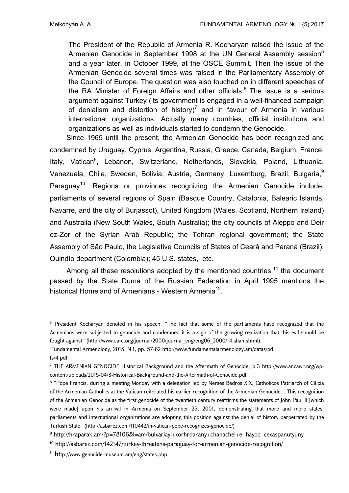1

The President of the Republic of Armenia R. Kocharyan raised the issue of the Armenian Genocide in September 1998 at the UN General Assembly session<sup>5</sup> and a year later, in October 1999, at the OSCE Summit. Then the issue of the Armenian Genocide several times was raised in the Parliamentary Assembly of the Council of Europe. The question was also touched on in different speeches of the RA Minister of Foreign Affairs and other officials.<sup>6</sup> The issue is a serious argument against Turkey (its government is engaged in a well-financed campaign of denialism and distortion of history)<sup>7</sup> and in favour of Armenia in various international organizations. Actually many countries, official institutions and organizations as well as individuals started to condemn the Genocide.

Since 1965 until the present, the Armenian Genocide has been recognized and condemned by Uruguay, Cyprus, Argentina, Russia, Greece, Canada, Belgium, France, Italy, Vatican<sup>8</sup>, Lebanon, Switzerland, Netherlands, Slovakia, Poland, Lithuania, Venezuela, Chile, Sweden, Bolivia, Austria, Germany, Luxemburg, Brazil, Bulgaria,<sup>9</sup> Paraguay<sup>10</sup>. Regions or provinces recognizing the Armenian Genocide include: parliaments of several regions of Spain (Basque Country, Catalonia, Balearic Islands, Navarre, and the city of Burjassot), United Kingdom (Wales, Scotland, Northern Ireland) and Australia (New South Wales, South Australia); the city councils of Aleppo and Deir ez-Zor of the Syrian Arab Republic; the Tehran regional government; the State Assembly of São Paulo, the Legislative Councils of States of Ceará and Paraná (Brazil); Quindío department (Colombia); 45 U.S. states, etc.

Among all these resolutions adopted by the mentioned countries, $11$  the document passed by the State Duma of the Russian Federation in April 1995 mentions the historical Homeland of Armenians - Western Armenia<sup>12</sup>.

<sup>5</sup> President Kocharyan denoted in his speech: "The fact that some of the parliaments have recognized that the Armenians were subjected to genocide and condemned it is a sign of the growing realization that this evil should be fought against" (http://www.ca-c.org/journal/2000/journal\_eng/eng06\_2000/14.shah.shtml).

r Fundamental Armenology, 2015, N 1, pp. 57-62 http://www.fundamentalarmenology.am/datas/pd fs/4.pdf

<sup>7</sup> THE ARMENIAN GENOCIDE Historical Background and the Aftermath of Genocide, p.3 http://www.ancawr.org/wpcontent/uploads/2015/04/3-Historical-Background-and-the-Aftermath-of-Genocide.pdf

<sup>8 &</sup>quot;Pope Francis, during a meeting Monday with a delegation led by Nerses Bedros XIX, Catholicos Patriarch of Cilicia of the Armenian Catholics at the Vatican reiterated his earlier recognition of the Armenian Genocide... This recognition of the Armenian Genocide as the first genocide of the twentieth century reaffirms the statements of John Paul II [which were made] upon his arrival in Armenia on September 25, 2001, demonstrating that more and more states, parliaments and international organizations are adopting this position against the denial of history perpetrated by the Turkish State" (http://asbarez.com/110442/in-vatican-pope-recognizes-genocide/)

 $9$  http://hraparak.am/?p=78106&l=am/bulxariayi+xorhrdarany+chanachel+e+hayoc+cexaspanutyuny

<sup>10</sup> http://asbarez.com/142147/turkey-threatens-paraguay-for-armenian-genocide-recognition/

<sup>11</sup> http://www.genocide-museum.am/eng/states.php